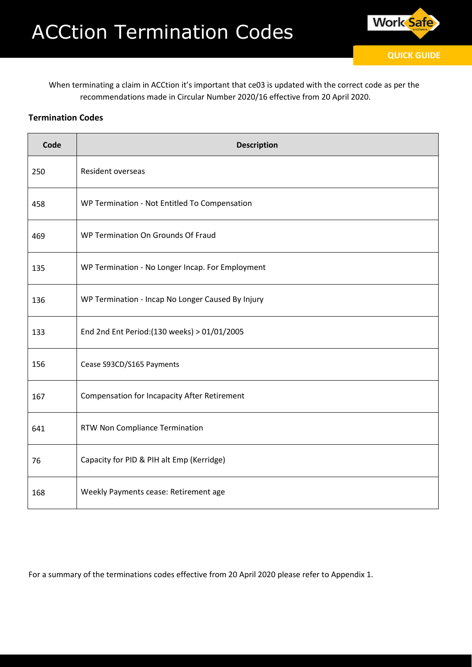

When terminating a claim in ACCtion it's important that ce03 is updated with the correct code as per the recommendations made in Circular Number 2020/16 effective from 20 April 2020.

## **Termination Codes**

| Code | <b>Description</b>                                  |  |  |  |  |  |
|------|-----------------------------------------------------|--|--|--|--|--|
| 250  | Resident overseas                                   |  |  |  |  |  |
| 458  | WP Termination - Not Entitled To Compensation       |  |  |  |  |  |
| 469  | WP Termination On Grounds Of Fraud                  |  |  |  |  |  |
| 135  | WP Termination - No Longer Incap. For Employment    |  |  |  |  |  |
| 136  | WP Termination - Incap No Longer Caused By Injury   |  |  |  |  |  |
| 133  | End 2nd Ent Period: (130 weeks) > 01/01/2005        |  |  |  |  |  |
| 156  | Cease S93CD/S165 Payments                           |  |  |  |  |  |
| 167  | <b>Compensation for Incapacity After Retirement</b> |  |  |  |  |  |
| 641  | RTW Non Compliance Termination                      |  |  |  |  |  |
| 76   | Capacity for PID & PIH alt Emp (Kerridge)           |  |  |  |  |  |
| 168  | Weekly Payments cease: Retirement age               |  |  |  |  |  |

For a summary of the terminations codes effective from 20 April 2020 please refer to Appendix 1.